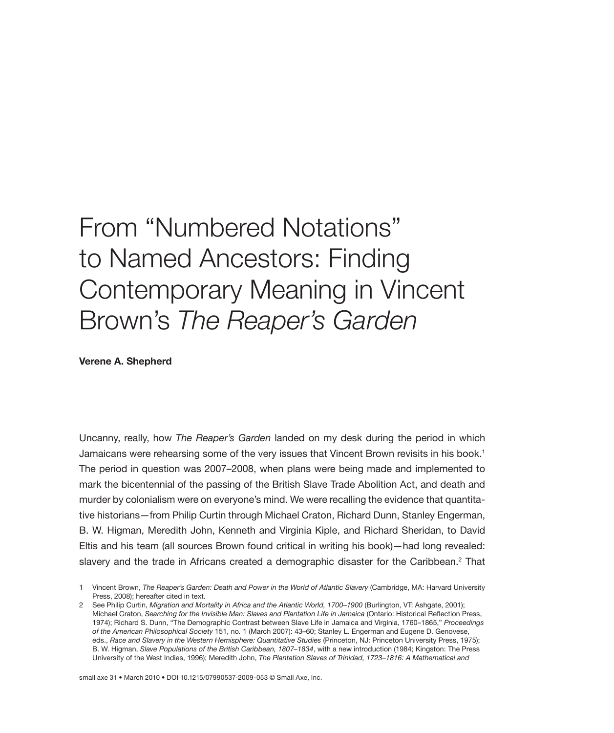## From "Numbered Notations" to Named Ancestors: Finding Contemporary Meaning in Vincent Brown's *The Reaper's Garden*

**Verene A. Shepherd**

Uncanny, really, how *The Reaper's Garden* landed on my desk during the period in which Jamaicans were rehearsing some of the very issues that Vincent Brown revisits in his book.1 The period in question was 2007–2008, when plans were being made and implemented to mark the bicentennial of the passing of the British Slave Trade Abolition Act, and death and murder by colonialism were on everyone's mind. We were recalling the evidence that quantitative historians—from Philip Curtin through Michael Craton, Richard Dunn, Stanley Engerman, B. W. Higman, Meredith John, Kenneth and Virginia Kiple, and Richard Sheridan, to David Eltis and his team (all sources Brown found critical in writing his book)—had long revealed: slavery and the trade in Africans created a demographic disaster for the Caribbean.<sup>2</sup> That

small axe 31 • March 2010 • DOI 10.1215/07990537-2009-053 © Small Axe, Inc.

<sup>1</sup> Vincent Brown, *The Reaper's Garden: Death and Power in the World of Atlantic Slavery* (Cambridge, MA: Harvard University Press, 2008); hereafter cited in text.

<sup>2</sup> See Philip Curtin, *Migration and Mortality in Africa and the Atlantic World, 1700–1900* (Burlington, VT: Ashgate, 2001); Michael Craton, *Searching for the Invisible Man: Slaves and Plantation Life in Jamaica* (Ontario: Historical Reflection Press, 1974); Richard S. Dunn, "The Demographic Contrast between Slave Life in Jamaica and Virginia, 1760–1865," *Proceedings of the American Philosophical Society* 151, no*.* 1 (March 2007): 43–60; Stanley L. Engerman and Eugene D. Genovese, eds., *Race and Slavery in the Western Hemisphere: Quantitative Studies* (Princeton, NJ: Princeton University Press, 1975); B. W. Higman, *Slave Populations of the British Caribbean, 1807–1834*, with a new introduction (1984; Kingston: The Press University of the West Indies, 1996); Meredith John, *The Plantation Slaves of Trinidad, 1723–1816: A Mathematical and*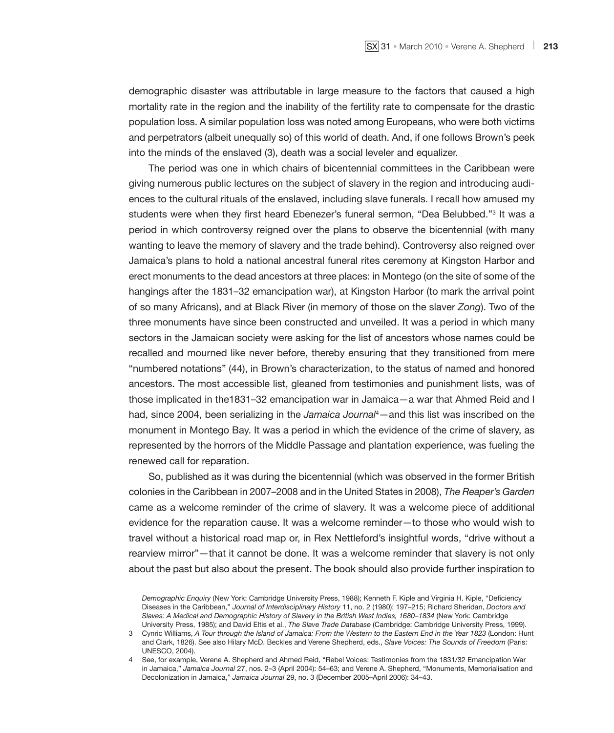demographic disaster was attributable in large measure to the factors that caused a high mortality rate in the region and the inability of the fertility rate to compensate for the drastic population loss. A similar population loss was noted among Europeans, who were both victims and perpetrators (albeit unequally so) of this world of death. And, if one follows Brown's peek into the minds of the enslaved (3), death was a social leveler and equalizer.

The period was one in which chairs of bicentennial committees in the Caribbean were giving numerous public lectures on the subject of slavery in the region and introducing audiences to the cultural rituals of the enslaved, including slave funerals. I recall how amused my students were when they first heard Ebenezer's funeral sermon, "Dea Belubbed."3 It was a period in which controversy reigned over the plans to observe the bicentennial (with many wanting to leave the memory of slavery and the trade behind). Controversy also reigned over Jamaica's plans to hold a national ancestral funeral rites ceremony at Kingston Harbor and erect monuments to the dead ancestors at three places: in Montego (on the site of some of the hangings after the 1831–32 emancipation war), at Kingston Harbor (to mark the arrival point of so many Africans), and at Black River (in memory of those on the slaver *Zong*). Two of the three monuments have since been constructed and unveiled. It was a period in which many sectors in the Jamaican society were asking for the list of ancestors whose names could be recalled and mourned like never before, thereby ensuring that they transitioned from mere "numbered notations" (44), in Brown's characterization, to the status of named and honored ancestors. The most accessible list, gleaned from testimonies and punishment lists, was of those implicated in the1831–32 emancipation war in Jamaica—a war that Ahmed Reid and I had, since 2004, been serializing in the *Jamaica Journal<sup>4</sup>*—and this list was inscribed on the monument in Montego Bay. It was a period in which the evidence of the crime of slavery, as represented by the horrors of the Middle Passage and plantation experience, was fueling the renewed call for reparation.

So, published as it was during the bicentennial (which was observed in the former British colonies in the Caribbean in 2007–2008 and in the United States in 2008), *The Reaper's Garden* came as a welcome reminder of the crime of slavery. It was a welcome piece of additional evidence for the reparation cause. It was a welcome reminder—to those who would wish to travel without a historical road map or, in Rex Nettleford's insightful words, "drive without a rearview mirror"—that it cannot be done. It was a welcome reminder that slavery is not only about the past but also about the present. The book should also provide further inspiration to

*Demographic Enquiry* (New York: Cambridge University Press, 1988); Kenneth F. Kiple and Virginia H. Kiple, "Deficiency Diseases in the Caribbean," *Journal of Interdisciplinary History* 11, no. 2 (1980): 197–215; Richard Sheridan, *Doctors and Slaves: A Medical and Demographic History of Slavery in the British West Indies, 1680–1834* (New York: Cambridge University Press, 1985); and David Eltis et al., *The Slave Trade Database* (Cambridge: Cambridge University Press, 1999).

<sup>3</sup> Cynric Williams, *A Tour through the Island of Jamaica: From the Western to the Eastern End in the Year 1823* (London: Hunt and Clark, 1826). See also Hilary McD. Beckles and Verene Shepherd, eds., *Slave Voices: The Sounds of Freedom* (Paris: UNESCO, 2004).

<sup>4</sup> See, for example, Verene A. Shepherd and Ahmed Reid, "Rebel Voices: Testimonies from the 1831/32 Emancipation War in Jamaica," *Jamaica Journal* 27, nos. 2–3 (April 2004): 54–63; and Verene A. Shepherd, "Monuments, Memorialisation and Decolonization in Jamaica," *Jamaica Journal* 29, no. 3 (December 2005–April 2006): 34–43.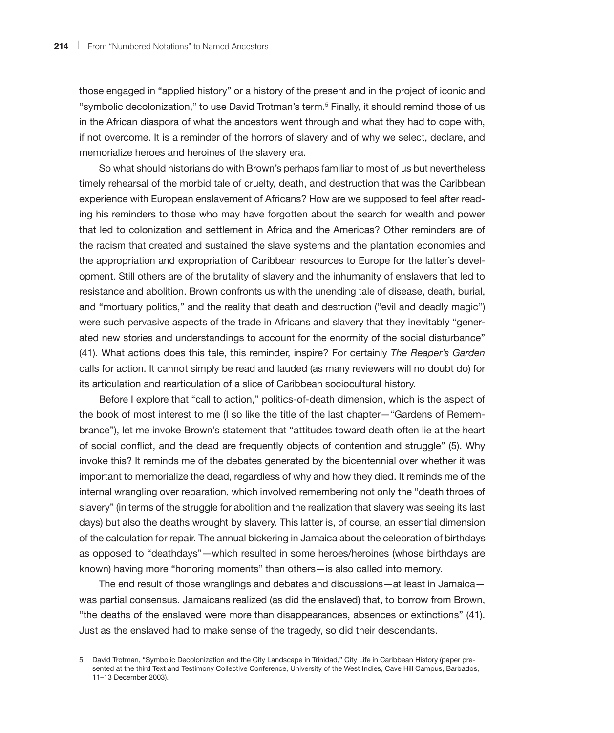those engaged in "applied history" or a history of the present and in the project of iconic and "symbolic decolonization," to use David Trotman's term.<sup>5</sup> Finally, it should remind those of us in the African diaspora of what the ancestors went through and what they had to cope with, if not overcome. It is a reminder of the horrors of slavery and of why we select, declare, and memorialize heroes and heroines of the slavery era.

So what should historians do with Brown's perhaps familiar to most of us but nevertheless timely rehearsal of the morbid tale of cruelty, death, and destruction that was the Caribbean experience with European enslavement of Africans? How are we supposed to feel after reading his reminders to those who may have forgotten about the search for wealth and power that led to colonization and settlement in Africa and the Americas? Other reminders are of the racism that created and sustained the slave systems and the plantation economies and the appropriation and expropriation of Caribbean resources to Europe for the latter's development. Still others are of the brutality of slavery and the inhumanity of enslavers that led to resistance and abolition. Brown confronts us with the unending tale of disease, death, burial, and "mortuary politics," and the reality that death and destruction ("evil and deadly magic") were such pervasive aspects of the trade in Africans and slavery that they inevitably "generated new stories and understandings to account for the enormity of the social disturbance" (41). What actions does this tale, this reminder, inspire? For certainly *The Reaper's Garden* calls for action. It cannot simply be read and lauded (as many reviewers will no doubt do) for its articulation and rearticulation of a slice of Caribbean sociocultural history.

Before I explore that "call to action," politics-of-death dimension, which is the aspect of the book of most interest to me (I so like the title of the last chapter—"Gardens of Remembrance"), let me invoke Brown's statement that "attitudes toward death often lie at the heart of social conflict, and the dead are frequently objects of contention and struggle" (5). Why invoke this? It reminds me of the debates generated by the bicentennial over whether it was important to memorialize the dead, regardless of why and how they died. It reminds me of the internal wrangling over reparation, which involved remembering not only the "death throes of slavery" (in terms of the struggle for abolition and the realization that slavery was seeing its last days) but also the deaths wrought by slavery. This latter is, of course, an essential dimension of the calculation for repair. The annual bickering in Jamaica about the celebration of birthdays as opposed to "deathdays"—which resulted in some heroes/heroines (whose birthdays are known) having more "honoring moments" than others—is also called into memory.

The end result of those wranglings and debates and discussions—at least in Jamaica was partial consensus. Jamaicans realized (as did the enslaved) that, to borrow from Brown, "the deaths of the enslaved were more than disappearances, absences or extinctions" (41). Just as the enslaved had to make sense of the tragedy, so did their descendants.

<sup>5</sup> David Trotman, "Symbolic Decolonization and the City Landscape in Trinidad," City Life in Caribbean History (paper presented at the third Text and Testimony Collective Conference, University of the West Indies, Cave Hill Campus, Barbados, 11–13 December 2003).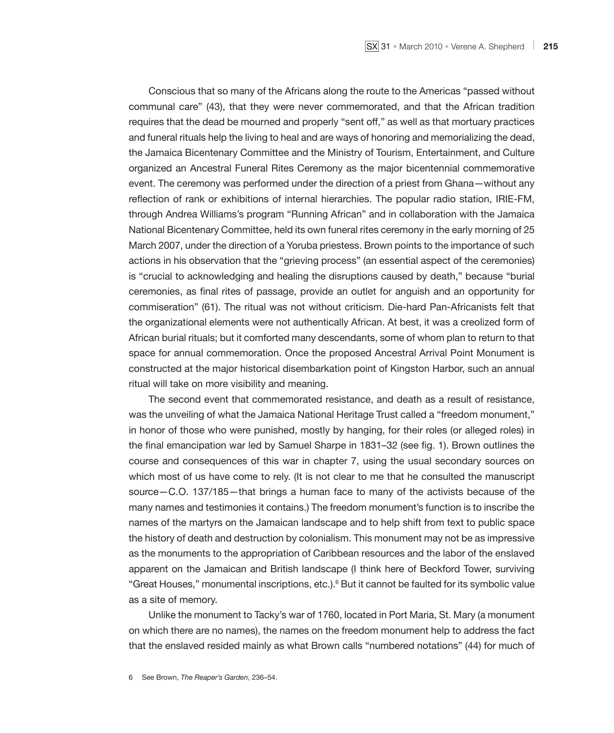Conscious that so many of the Africans along the route to the Americas "passed without communal care" (43), that they were never commemorated, and that the African tradition requires that the dead be mourned and properly "sent off," as well as that mortuary practices and funeral rituals help the living to heal and are ways of honoring and memorializing the dead, the Jamaica Bicentenary Committee and the Ministry of Tourism, Entertainment, and Culture organized an Ancestral Funeral Rites Ceremony as the major bicentennial commemorative event. The ceremony was performed under the direction of a priest from Ghana—without any reflection of rank or exhibitions of internal hierarchies. The popular radio station, IRIE-FM, through Andrea Williams's program "Running African" and in collaboration with the Jamaica National Bicentenary Committee, held its own funeral rites ceremony in the early morning of 25 March 2007, under the direction of a Yoruba priestess. Brown points to the importance of such actions in his observation that the "grieving process" (an essential aspect of the ceremonies) is "crucial to acknowledging and healing the disruptions caused by death," because "burial ceremonies, as final rites of passage, provide an outlet for anguish and an opportunity for commiseration" (61). The ritual was not without criticism. Die-hard Pan-Africanists felt that the organizational elements were not authentically African. At best, it was a creolized form of African burial rituals; but it comforted many descendants, some of whom plan to return to that space for annual commemoration. Once the proposed Ancestral Arrival Point Monument is constructed at the major historical disembarkation point of Kingston Harbor, such an annual ritual will take on more visibility and meaning.

The second event that commemorated resistance, and death as a result of resistance, was the unveiling of what the Jamaica National Heritage Trust called a "freedom monument," in honor of those who were punished, mostly by hanging, for their roles (or alleged roles) in the final emancipation war led by Samuel Sharpe in 1831–32 (see fig. 1). Brown outlines the course and consequences of this war in chapter 7, using the usual secondary sources on which most of us have come to rely. (It is not clear to me that he consulted the manuscript source—C.O. 137/185—that brings a human face to many of the activists because of the many names and testimonies it contains.) The freedom monument's function is to inscribe the names of the martyrs on the Jamaican landscape and to help shift from text to public space the history of death and destruction by colonialism. This monument may not be as impressive as the monuments to the appropriation of Caribbean resources and the labor of the enslaved apparent on the Jamaican and British landscape (I think here of Beckford Tower, surviving "Great Houses," monumental inscriptions, etc.).6 But it cannot be faulted for its symbolic value as a site of memory.

Unlike the monument to Tacky's war of 1760, located in Port Maria, St. Mary (a monument on which there are no names), the names on the freedom monument help to address the fact that the enslaved resided mainly as what Brown calls "numbered notations" (44) for much of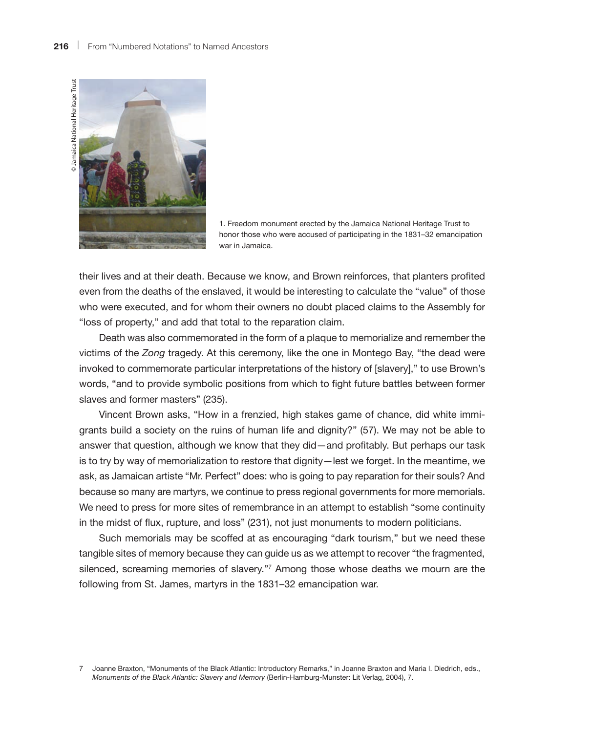

1. Freedom monument erected by the Jamaica National Heritage Trust to honor those who were accused of participating in the 1831–32 emancipation war in Jamaica.

their lives and at their death. Because we know, and Brown reinforces, that planters profited even from the deaths of the enslaved, it would be interesting to calculate the "value" of those who were executed, and for whom their owners no doubt placed claims to the Assembly for "loss of property," and add that total to the reparation claim.

Death was also commemorated in the form of a plaque to memorialize and remember the victims of the *Zong* tragedy. At this ceremony, like the one in Montego Bay, "the dead were invoked to commemorate particular interpretations of the history of [slavery]," to use Brown's words, "and to provide symbolic positions from which to fight future battles between former slaves and former masters" (235).

Vincent Brown asks, "How in a frenzied, high stakes game of chance, did white immigrants build a society on the ruins of human life and dignity?" (57). We may not be able to answer that question, although we know that they did—and profitably. But perhaps our task is to try by way of memorialization to restore that dignity—lest we forget. In the meantime, we ask, as Jamaican artiste "Mr. Perfect" does: who is going to pay reparation for their souls? And because so many are martyrs, we continue to press regional governments for more memorials. We need to press for more sites of remembrance in an attempt to establish "some continuity in the midst of flux, rupture, and loss" (231), not just monuments to modern politicians.

Such memorials may be scoffed at as encouraging "dark tourism," but we need these tangible sites of memory because they can guide us as we attempt to recover "the fragmented, silenced, screaming memories of slavery."<sup>7</sup> Among those whose deaths we mourn are the following from St. James, martyrs in the 1831–32 emancipation war.

<sup>7</sup> Joanne Braxton, "Monuments of the Black Atlantic: Introductory Remarks," in Joanne Braxton and Maria I. Diedrich, eds., *Monuments of the Black Atlantic: Slavery and Memory* (Berlin-Hamburg-Munster: Lit Verlag, 2004), 7.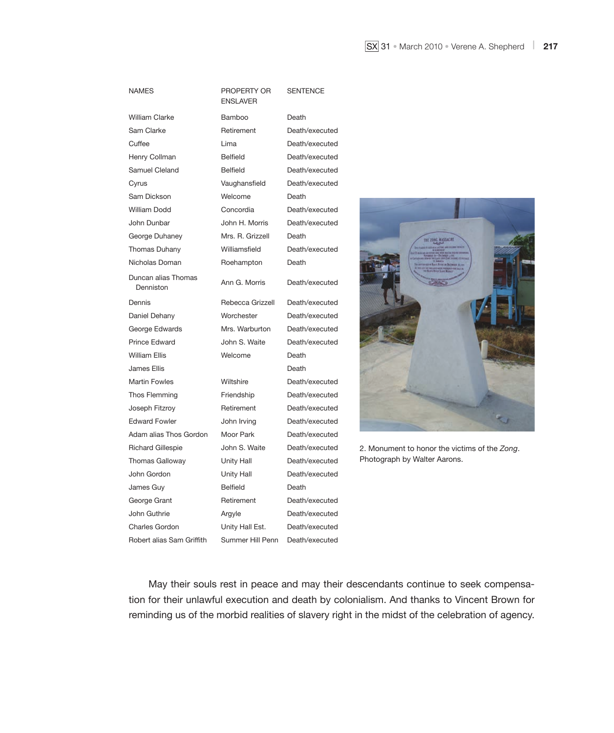| <b>NAMES</b>                     | PROPERTY OR<br><b>ENSLAVER</b> | <b>SENTENCE</b> |
|----------------------------------|--------------------------------|-----------------|
| <b>William Clarke</b>            | Bamboo                         | Death           |
| Sam Clarke                       | Retirement                     | Death/executed  |
| Cuffee                           | Lima                           | Death/executed  |
| Henry Collman                    | <b>Belfield</b>                | Death/executed  |
| Samuel Cleland                   | <b>Belfield</b>                | Death/executed  |
| Cyrus                            | Vaughansfield                  | Death/executed  |
| Sam Dickson                      | Welcome                        | Death           |
| William Dodd                     | Concordia                      | Death/executed  |
| John Dunbar                      | John H. Morris                 | Death/executed  |
| George Duhaney                   | Mrs. R. Grizzell               | Death           |
| <b>Thomas Duhany</b>             | Williamsfield                  | Death/executed  |
| Nicholas Doman                   | Roehampton                     | Death           |
| Duncan alias Thomas<br>Denniston | Ann G. Morris                  | Death/executed  |
| Dennis                           | Rebecca Grizzell               | Death/executed  |
| Daniel Dehany                    | Worchester                     | Death/executed  |
| George Edwards                   | Mrs. Warburton                 | Death/executed  |
| <b>Prince Edward</b>             | John S. Waite                  | Death/executed  |
| <b>William Ellis</b>             | Welcome                        | Death           |
| James Ellis                      |                                | Death           |
| <b>Martin Fowles</b>             | Wiltshire                      | Death/executed  |
| Thos Flemming                    | Friendship                     | Death/executed  |
| Joseph Fitzroy                   | Retirement                     | Death/executed  |
| <b>Edward Fowler</b>             | John Irving                    | Death/executed  |
| Adam alias Thos Gordon           | Moor Park                      | Death/executed  |
| <b>Richard Gillespie</b>         | John S. Waite                  | Death/executed  |
| <b>Thomas Galloway</b>           | Unity Hall                     | Death/executed  |
| John Gordon                      | Unity Hall                     | Death/executed  |
| James Guy                        | <b>Belfield</b>                | Death           |
| George Grant                     | Retirement                     | Death/executed  |
| John Guthrie                     | Argyle                         | Death/executed  |
| <b>Charles Gordon</b>            | Unity Hall Est.                | Death/executed  |
| Robert alias Sam Griffith        | Summer Hill Penn               | Death/executed  |



2. Monument to honor the victims of the *Zong*. Photograph by Walter Aarons.

May their souls rest in peace and may their descendants continue to seek compensation for their unlawful execution and death by colonialism. And thanks to Vincent Brown for reminding us of the morbid realities of slavery right in the midst of the celebration of agency.